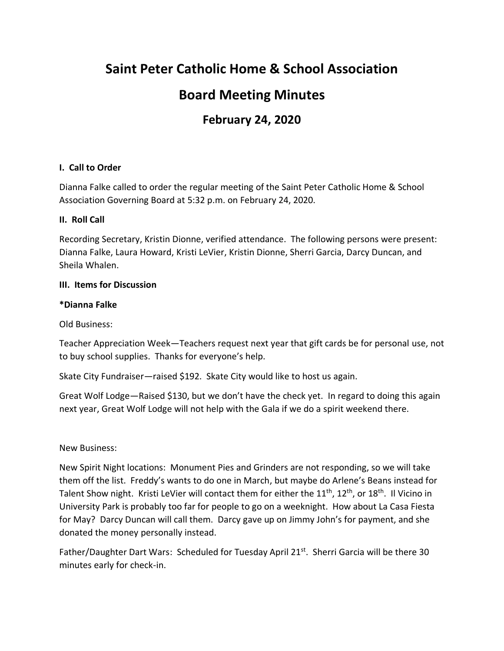# **Saint Peter Catholic Home & School Association**

# **Board Meeting Minutes**

# **February 24, 2020**

# **I. Call to Order**

Dianna Falke called to order the regular meeting of the Saint Peter Catholic Home & School Association Governing Board at 5:32 p.m. on February 24, 2020.

#### **II. Roll Call**

Recording Secretary, Kristin Dionne, verified attendance. The following persons were present: Dianna Falke, Laura Howard, Kristi LeVier, Kristin Dionne, Sherri Garcia, Darcy Duncan, and Sheila Whalen.

#### **III. Items for Discussion**

#### **\*Dianna Falke**

Old Business:

Teacher Appreciation Week—Teachers request next year that gift cards be for personal use, not to buy school supplies. Thanks for everyone's help.

Skate City Fundraiser—raised \$192. Skate City would like to host us again.

Great Wolf Lodge—Raised \$130, but we don't have the check yet. In regard to doing this again next year, Great Wolf Lodge will not help with the Gala if we do a spirit weekend there.

New Business:

New Spirit Night locations: Monument Pies and Grinders are not responding, so we will take them off the list. Freddy's wants to do one in March, but maybe do Arlene's Beans instead for Talent Show night. Kristi LeVier will contact them for either the 11<sup>th</sup>, 12<sup>th</sup>, or 18<sup>th</sup>. Il Vicino in University Park is probably too far for people to go on a weeknight. How about La Casa Fiesta for May? Darcy Duncan will call them. Darcy gave up on Jimmy John's for payment, and she donated the money personally instead.

Father/Daughter Dart Wars: Scheduled for Tuesday April 21<sup>st</sup>. Sherri Garcia will be there 30 minutes early for check-in.